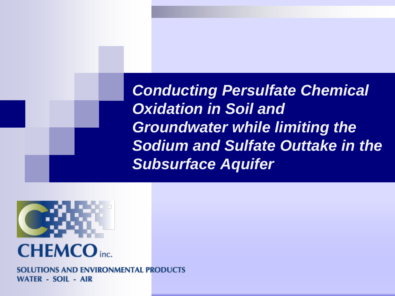*Conducting Persulfate Chemical Oxidation in Soil and Groundwater while limiting the Sodium and Sulfate Outtake in the Subsurface Aquifer*



**SOLUTIONS AND ENVIRONMENTAL PRODUCTS WATER - SOIL - AIR**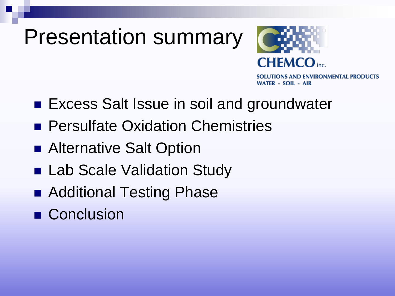### Presentation summary



SOLUTIONS AND ENVIRONMENTAL PRODUCTS **WATER - SOIL - AIR** 

- Excess Salt Issue in soil and groundwater
- **Persulfate Oxidation Chemistries**
- Alternative Salt Option
- Lab Scale Validation Study
- Additional Testing Phase
- Conclusion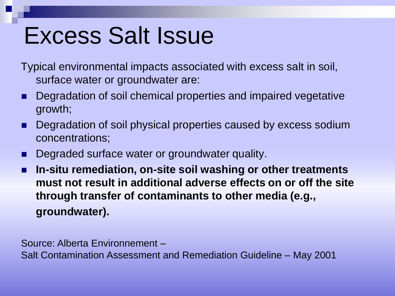# Excess Salt Issue

- Typical environmental impacts associated with excess salt in soil, surface water or groundwater are:
- Degradation of soil chemical properties and impaired vegetative growth;
- Degradation of soil physical properties caused by excess sodium concentrations;
- **Degraded surface water or groundwater quality.**
- **In-situ remediation, on-site soil washing or other treatments must not result in additional adverse effects on or off the site through transfer of contaminants to other media (e.g., groundwater).**

Source: Alberta Environnement –

Salt Contamination Assessment and Remediation Guideline – May 2001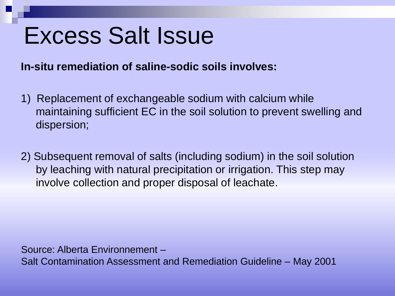## Excess Salt Issue

**In-situ remediation of saline-sodic soils involves:**

- 1) Replacement of exchangeable sodium with calcium while maintaining sufficient EC in the soil solution to prevent swelling and dispersion;
- 2) Subsequent removal of salts (including sodium) in the soil solution by leaching with natural precipitation or irrigation. This step may involve collection and proper disposal of leachate.

Source: Alberta Environnement – Salt Contamination Assessment and Remediation Guideline – May 2001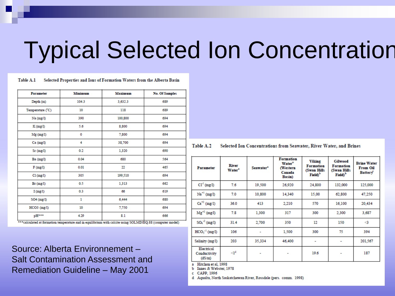# Typical Selected Ion Concentration

#### Table A.1 Selected Properties and Ions of Formation Waters from the Alberta Basin

| <b>Parameter</b> | <b>Minimum</b> | Maximum | No. Of Samples |
|------------------|----------------|---------|----------------|
| Depth (m)        | 104.3          | 3,632.3 | 689            |
| Temperature (°C) | 10             | 118     | 689            |
| $Na$ (mg/l)      | 390            | 100,800 | 694            |
| K(mg/l)          | 5.6            | 8,800   | 694            |
| $Mg$ (mg/l)      | 0              | 7,800   | 694            |
| Ca (mg/l)        | 4              | 38,700  | 694            |
| $Sr$ (mg/l)      | 0.2            | 1,320   | 690            |
| Ba (mg/l)        | 0.04           | 680     | 564            |
| F(mg/l)          | 0.01           | 22      | 465            |
| Cl(mg/l)         | 305            | 199,510 | 694            |
| Br(mg/l)         | 0.5            | 1,313   | 662            |
| I(mg/l)          | 0.3            | 66      | 619            |
| $SO4$ (mg/l)     | $\mathbf{1}$   | 6,444   | 680            |
| $HCO3$ (mg/l)    | 10             | 7,750   | 694            |
| pH***            | 4.29           | 8.1     | 666            |

calculated at formation temperature and in equilibrium with calcite using SOLMINEQ.88 (computer model)

Source: Alberta Environnement – Salt Contamination Assessment and Remediation Guideline – May 2001

|  | Table A.2 | Selected Ion Concentrations from Seawater, River Water, and Brines |  |  |  |
|--|-----------|--------------------------------------------------------------------|--|--|--|
|--|-----------|--------------------------------------------------------------------|--|--|--|

| <b>Parameter</b>                     | River<br>Water <sup>*</sup> | Seawater <sup>*</sup> | Formation<br>Water <sup>*</sup><br>(Western<br>Canada<br>Basin) | Viking<br>Formation<br>(Swan Hills<br>Field) <sup>b</sup> | <b>Gilwood</b><br><b>Formation</b><br>(Swan Hills<br>Field) <sup>b</sup> | <b>Brine Water</b><br>From Oil<br><b>Battery</b> |
|--------------------------------------|-----------------------------|-----------------------|-----------------------------------------------------------------|-----------------------------------------------------------|--------------------------------------------------------------------------|--------------------------------------------------|
| $CT1$ (mg/I)                         | 7.6                         | 19,500                | 26,920                                                          | 24,800                                                    | 132,000                                                                  | 125,000                                          |
| $Na+1 (mg/l)$                        | 7.0                         | 10,800                | 14,340                                                          | 15,00                                                     | 62,800                                                                   | 47,250                                           |
| $Ca+2$ (mg/l)                        | 36.0                        | 413                   | 2,210                                                           | 570                                                       | 16,100                                                                   | 20,434                                           |
| $Mg^{+2}$ (mg/l)                     | 7.8                         | 1.300                 | 317                                                             | 300                                                       | 2,300                                                                    | 3.687                                            |
| $SO_4^2$ (mg/I)                      | 31.4                        | 2,700                 | 350                                                             | 12                                                        | 150                                                                      | -3                                               |
| $HCO3-1 (mg/l)$                      | 106                         | ۰                     | 1,500                                                           | 300                                                       | 75                                                                       | 394                                              |
| Salinity (mg/l)                      | 203                         | 35,334                | 46,400                                                          | ۰                                                         | ٠                                                                        | 201,567                                          |
| Electrical<br>Conductivity<br>(dS/m) | $\leq 1^d$                  |                       |                                                                 | 19.6                                                      |                                                                          | 187                                              |

Hitchon et al. 1998

Innes & Webster, 1978

c CAPP, 1996

d Aqualta, North Saskatchewan River, Rossdale (pers. comm. 1998).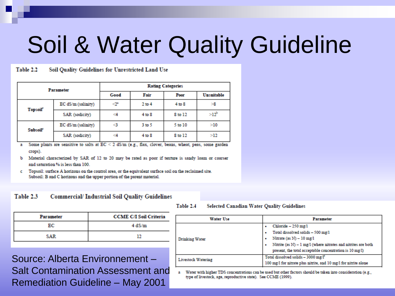# Soil & Water Quality Guideline

#### Soil Quality Guidelines for Unrestricted Land Use Table 2.2

| <b>Parameter</b>            |                    | <b>Rating Categories</b> |            |         |            |  |  |
|-----------------------------|--------------------|--------------------------|------------|---------|------------|--|--|
|                             |                    | Good                     | Fair       | Poor    | Unsuitable |  |  |
| <b>Topsoil</b> <sup>c</sup> | EC dS/m (salinity) | -2                       | $2$ to $4$ | 4 to 8  | >8         |  |  |
|                             | SAR (sodicity)     | <4                       | $4$ to $8$ | 8 to 12 | $>12^{b}$  |  |  |
| <b>Subsoil</b> <sup>e</sup> | EC dS/m (salinity) | <3                       | 3 to 5     | 5 to 10 | >10        |  |  |
|                             | SAR (sodicity)     | -4                       | $4$ to $8$ | 8 to 12 | >12        |  |  |

Some plants are sensitive to salts at  $EC \le 2$  dS/m (e.g., flax, clover, beans, wheat, peas, some garden crops).

Material characterized by SAR of 12 to 20 may be rated as poor if texture is sandy loam or coarser b. and saturation % is less than 100.

c Topsoil: surface A horizons on the control area, or the equivalent surface soil on the reclaimed site. Subsoil: B and C horizons and the upper portion of the parent material.

#### Table 23 **Commercial/Industrial Soil Quality Guidelines**

| Parameter | <b>CCME C/I Soil Criteria</b> |
|-----------|-------------------------------|
| юс        | 4 dS/m                        |
| SAR       |                               |

Table 2.4 Selected Canadian Water Quality Guidelines

| <b>Water Use</b>          | <b>Parameter</b>                                                                                                                                                                                                       |  |  |
|---------------------------|------------------------------------------------------------------------------------------------------------------------------------------------------------------------------------------------------------------------|--|--|
| <b>Drinking Water</b>     | Chloride - 250 mg/l<br>Total dissolved solids - 500 mg/l<br>Nitrate (as $N$ ) - 10 mg/l<br>Nitrite (as $N$ ) - 1 mg/l (where nitrates and nitrites are both<br>present, the total acceptable concentration is 10 mg/l) |  |  |
| <b>Livestock Watering</b> | Total dissolved solids - 3000 mg/l*<br>100 mg/l for nitrate plus nitrite, and 10 mg/l for nitrite alone                                                                                                                |  |  |

a Water with higher TDS concentrations can be used but other factors should be taken into consideration (e.g., type of livestock, age, reproductive state). See CCME (1999).

Source: Alberta Environnement – Salt Contamination Assessment and Remediation Guideline – May 2001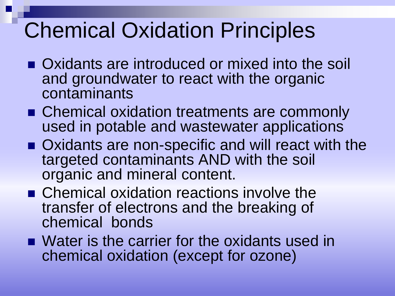### Chemical Oxidation Principles

- Oxidants are introduced or mixed into the soil and groundwater to react with the organic contaminants
- Chemical oxidation treatments are commonly used in potable and wastewater applications
- Oxidants are non-specific and will react with the targeted contaminants AND with the soil organic and mineral content.
- Chemical oxidation reactions involve the transfer of electrons and the breaking of chemical bonds
- Water is the carrier for the oxidants used in chemical oxidation (except for ozone)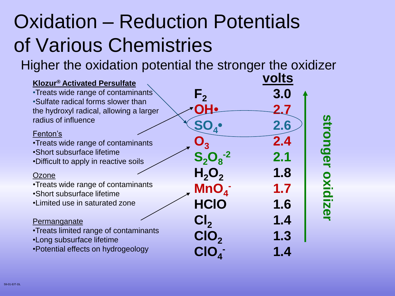### Oxidation – Reduction Potentials of Various Chemistries

Higher the oxidation potential the stronger the oxidizer

| <b>Klozur<sup>®</sup> Activated Persulfate</b>                                |                               | volts |               |
|-------------------------------------------------------------------------------|-------------------------------|-------|---------------|
| •Treats wide range of contaminants                                            | $\mathsf{F}_{\mathsf{2}}$     | 3.0   |               |
| •Sulfate radical forms slower than<br>the hydroxyl radical, allowing a larger |                               | 2.7   |               |
| radius of influence                                                           |                               | 2.6   |               |
| Fenton's<br>•Treats wide range of contaminants                                |                               | 2.4   | stronger      |
| •Short subsurface lifetime<br>•Difficult to apply in reactive soils           | $S_2O_8^{-2}$                 | 2.1   |               |
| Ozone                                                                         | H <sub>2</sub> O <sub>2</sub> | 1.8   |               |
| •Treats wide range of contaminants<br>•Short subsurface lifetime              | MnO <sub>4</sub>              | 1.7   | <b>OXidiz</b> |
| •Limited use in saturated zone                                                | <b>HCIO</b>                   | 1.6   |               |
| Permanganate                                                                  | Cl <sub>2</sub>               | 1.4   | $\mathbf{Q}$  |
| •Treats limited range of contaminants<br>•Long subsurface lifetime            | CIO <sub>2</sub>              | 1.3   |               |
| •Potential effects on hydrogeology                                            | CIO <sub>4</sub>              | 1.4   |               |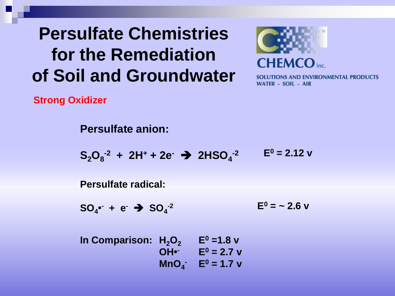### **Persulfate Chemistries for the Remediation of Soil and Groundwater**



SOLUTIONS AND ENVIRONMENTAL PRODUCTS WATER - SOIL - AIR

**Strong Oxidizer**

**Persulfate anion:**  $S_2O_8^{-2}$  + 2H<sup>+</sup> + 2e<sup>-</sup> → 2HSO<sub>4</sub><sup>-2</sup> **Persulfate radical:**  $SO_4$  **•** + e<sup>+</sup>  $\rightarrow$   $SO_4$ <sup>-2</sup>  $E^0 = 2.12$  v  $E^0 = -2.6$  v **In Comparison:**  $H_2O_2$  **E**<sup>0</sup> = 1.8 v  $OH<sup>•</sup>$  **E**<sup>0</sup> = 2.7 v **MnO**<sub>4</sub>  $E^0 = 1.7$  v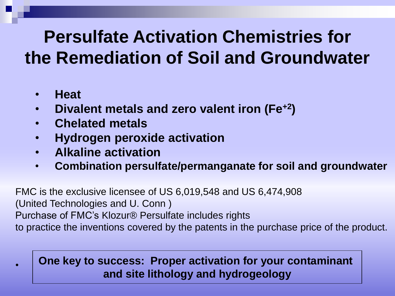### **Persulfate Activation Chemistries for the Remediation of Soil and Groundwater**

- **Heat**
- **Divalent metals and zero valent iron (Fe+2)**
- **Chelated metals**
- **Hydrogen peroxide activation**
- **Alkaline activation**
- **Combination persulfate/permanganate for soil and groundwater**

FMC is the exclusive licensee of US 6,019,548 and US 6,474,908 (United Technologies and U. Conn ) Purchase of FMC's Klozur® Persulfate includes rights to practice the inventions covered by the patents in the purchase price of the product.

### • **One key to success: Proper activation for your contaminant and site lithology and hydrogeology**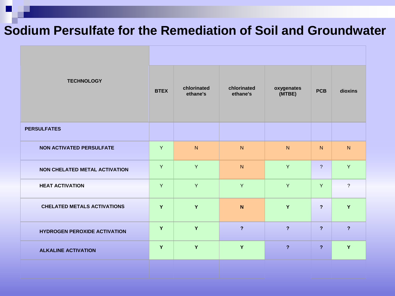### **Sodium Persulfate for the Remediation of Soil and Groundwater**

| <b>TECHNOLOGY</b>                    |   | chlorinated<br>ethane's | chlorinated<br>ethane's | oxygenates<br>(MTBE) | <b>PCB</b>     | dioxins        |  |  |
|--------------------------------------|---|-------------------------|-------------------------|----------------------|----------------|----------------|--|--|
| <b>PERSULFATES</b>                   |   |                         |                         |                      |                |                |  |  |
| <b>NON ACTIVATED PERSULFATE</b>      | Y | ${\sf N}$               | ${\sf N}$               | N                    | N              | N              |  |  |
| <b>NON CHELATED METAL ACTIVATION</b> | Y | Y                       | ${\sf N}$               | Y                    | $\overline{?}$ | Y.             |  |  |
| <b>HEAT ACTIVATION</b>               | Y | Y                       | Y                       | Y                    | Y              | $\overline{?}$ |  |  |
| <b>CHELATED METALS ACTIVATIONS</b>   | Y | Y                       | ${\bf N}$               | Y                    | $\overline{?}$ | Y              |  |  |
| <b>HYDROGEN PEROXIDE ACTIVATION</b>  | Y | Y                       | $\overline{?}$          | $\overline{?}$       | $\overline{?}$ | $\overline{?}$ |  |  |
| <b>ALKALINE ACTIVATION</b>           | Y | Y                       | Y                       | $\overline{?}$       | $\overline{2}$ | Y              |  |  |
|                                      |   |                         |                         |                      |                |                |  |  |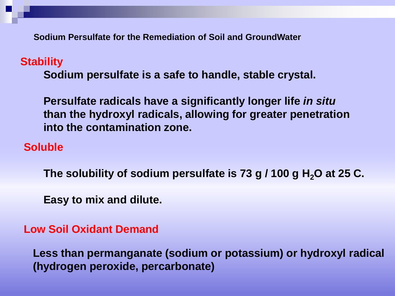**Sodium Persulfate for the Remediation of Soil and GroundWater**

#### **Stability**

**Sodium persulfate is a safe to handle, stable crystal.**

**Persulfate radicals have a significantly longer life** *in situ* **than the hydroxyl radicals, allowing for greater penetration into the contamination zone.**

#### **Soluble**

**The solubility of sodium persulfate is 73 g / 100 g H2O at 25 C.**

**Easy to mix and dilute.**

#### **Low Soil Oxidant Demand**

**Less than permanganate (sodium or potassium) or hydroxyl radical (hydrogen peroxide, percarbonate)**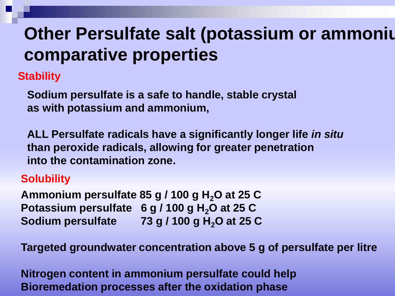### **Other Persulfate salt (potassium or ammonium) comparative properties**

**Stability**

**Sodium persulfate is a safe to handle, stable crystal as with potassium and ammonium,**

**ALL Persulfate radicals have a significantly longer life** *in situ* **than peroxide radicals, allowing for greater penetration into the contamination zone.**

### **Solubility**

**Ammonium persulfate 85 g / 100 g H2O at 25 C Potassium persulfate 6 g / 100 g H2O at 25 C Sodium persulfate 73 g / 100 g H2O at 25 C**

**Targeted groundwater concentration above 5 g of persulfate per litre**

**Nitrogen content in ammonium persulfate could help Bioremedation processes after the oxidation phase**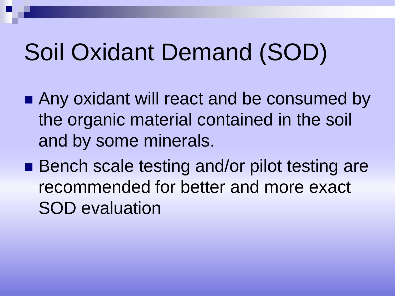# Soil Oxidant Demand (SOD)

- Any oxidant will react and be consumed by the organic material contained in the soil and by some minerals.
- Bench scale testing and/or pilot testing are recommended for better and more exact SOD evaluation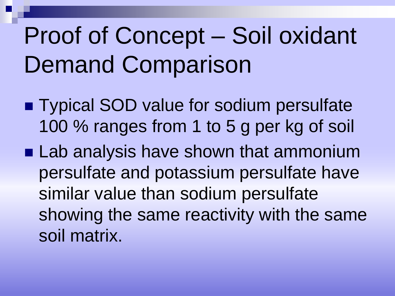# Proof of Concept – Soil oxidant Demand Comparison

- Typical SOD value for sodium persulfate 100 % ranges from 1 to 5 g per kg of soil
- **Lab analysis have shown that ammonium** persulfate and potassium persulfate have similar value than sodium persulfate showing the same reactivity with the same soil matrix.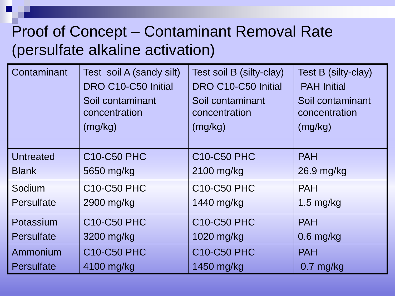### Proof of Concept – Contaminant Removal Rate (persulfate alkaline activation)

| Contaminant       | Test soil A (sandy silt)<br>DRO C10-C50 Initial<br>Soil contaminant<br>concentration<br>(mg/kg) | Test soil B (silty-clay)<br>DRO C10-C50 Initial<br>Soil contaminant<br>concentration<br>(mg/kg) | Test B (silty-clay)<br><b>PAH Initial</b><br>Soil contaminant<br>concentration<br>(mg/kg) |
|-------------------|-------------------------------------------------------------------------------------------------|-------------------------------------------------------------------------------------------------|-------------------------------------------------------------------------------------------|
| <b>Untreated</b>  | <b>C10-C50 PHC</b>                                                                              | <b>C10-C50 PHC</b>                                                                              | <b>PAH</b>                                                                                |
| <b>Blank</b>      | 5650 mg/kg                                                                                      | 2100 mg/kg                                                                                      | 26.9 mg/kg                                                                                |
| Sodium            | <b>C10-C50 PHC</b>                                                                              | <b>C10-C50 PHC</b>                                                                              | <b>PAH</b>                                                                                |
| Persulfate        | 2900 mg/kg                                                                                      | 1440 mg/kg                                                                                      | 1.5 mg/kg                                                                                 |
| Potassium         | <b>C10-C50 PHC</b>                                                                              | <b>C10-C50 PHC</b>                                                                              | <b>PAH</b>                                                                                |
| Persulfate        | 3200 mg/kg                                                                                      | 1020 mg/kg                                                                                      | $0.6$ mg/kg                                                                               |
| Ammonium          | <b>C10-C50 PHC</b>                                                                              | <b>C10-C50 PHC</b>                                                                              | <b>PAH</b>                                                                                |
| <b>Persulfate</b> | 4100 mg/kg                                                                                      | 1450 mg/kg                                                                                      | $0.7$ mg/kg                                                                               |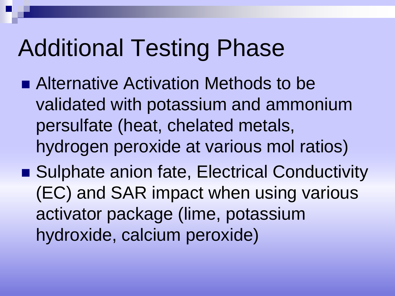## Additional Testing Phase

- Alternative Activation Methods to be validated with potassium and ammonium persulfate (heat, chelated metals, hydrogen peroxide at various mol ratios)
- Sulphate anion fate, Electrical Conductivity (EC) and SAR impact when using various activator package (lime, potassium hydroxide, calcium peroxide)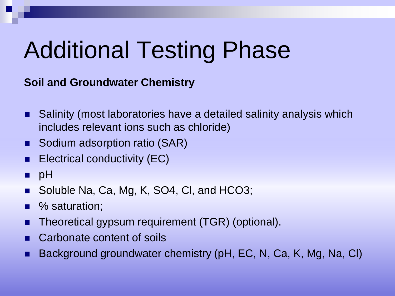# Additional Testing Phase

**Soil and Groundwater Chemistry**

- Salinity (most laboratories have a detailed salinity analysis which includes relevant ions such as chloride)
- Sodium adsorption ratio (SAR)
- Electrical conductivity (EC)
- $p$  pH
- Soluble Na, Ca, Mg, K, SO4, Cl, and HCO3;
- % saturation;
- Theoretical gypsum requirement (TGR) (optional).
- Carbonate content of soils
- Background groundwater chemistry (pH, EC, N, Ca, K, Mg, Na, Cl)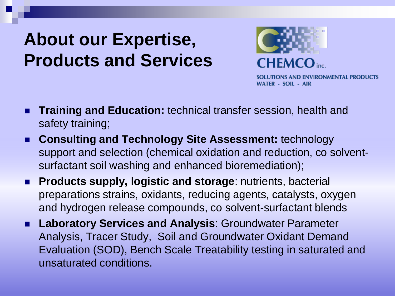### **About our Expertise, Products and Services**



SOLUTIONS AND ENVIRONMENTAL PRODUCTS WATER - SOIL - AIR

- **Training and Education:** technical transfer session, health and safety training;
- **Consulting and Technology Site Assessment:** technology support and selection (chemical oxidation and reduction, co solventsurfactant soil washing and enhanced bioremediation);
- **Products supply, logistic and storage**: nutrients, bacterial preparations strains, oxidants, reducing agents, catalysts, oxygen and hydrogen release compounds, co solvent-surfactant blends
- **Laboratory Services and Analysis**: Groundwater Parameter Analysis, Tracer Study, Soil and Groundwater Oxidant Demand Evaluation (SOD), Bench Scale Treatability testing in saturated and unsaturated conditions.